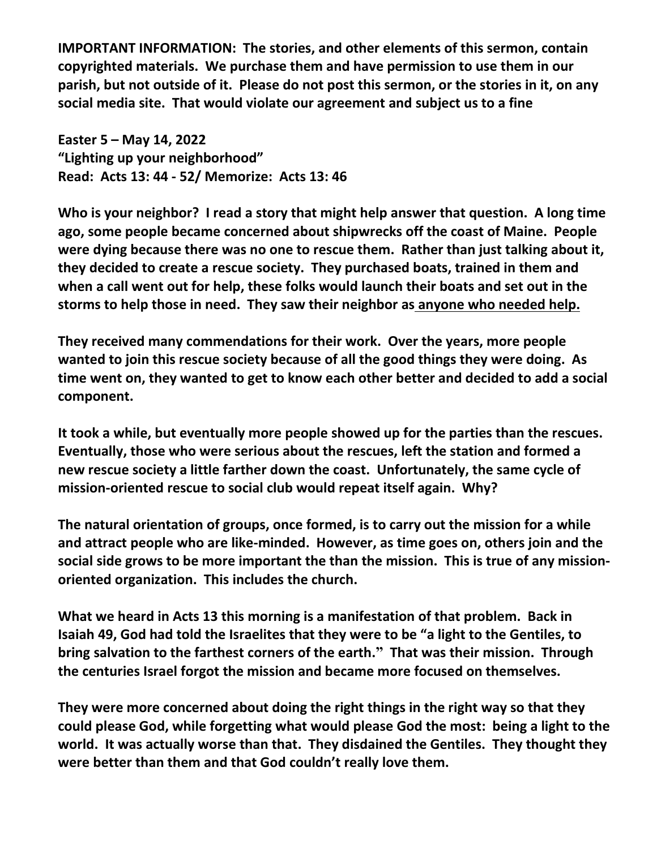**IMPORTANT INFORMATION: The stories, and other elements of this sermon, contain copyrighted materials. We purchase them and have permission to use them in our parish, but not outside of it. Please do not post this sermon, or the stories in it, on any social media site. That would violate our agreement and subject us to a fine** 

**Easter 5 – May 14, 2022 "Lighting up your neighborhood" Read: Acts 13: 44 - 52/ Memorize: Acts 13: 46**

**Who is your neighbor? I read a story that might help answer that question. A long time ago, some people became concerned about shipwrecks off the coast of Maine. People were dying because there was no one to rescue them. Rather than just talking about it, they decided to create a rescue society. They purchased boats, trained in them and when a call went out for help, these folks would launch their boats and set out in the storms to help those in need. They saw their neighbor as anyone who needed help.** 

**They received many commendations for their work. Over the years, more people wanted to join this rescue society because of all the good things they were doing. As time went on, they wanted to get to know each other better and decided to add a social component.** 

**It took a while, but eventually more people showed up for the parties than the rescues. Eventually, those who were serious about the rescues, left the station and formed a new rescue society a little farther down the coast. Unfortunately, the same cycle of mission-oriented rescue to social club would repeat itself again. Why?** 

**The natural orientation of groups, once formed, is to carry out the mission for a while and attract people who are like-minded. However, as time goes on, others join and the social side grows to be more important the than the mission. This is true of any missionoriented organization. This includes the church.** 

**What we heard in Acts 13 this morning is a manifestation of that problem. Back in Isaiah 49, God had told the Israelites that they were to be "a light to the Gentiles, to bring salvation to the farthest corners of the earth." That was their mission. Through the centuries Israel forgot the mission and became more focused on themselves.** 

**They were more concerned about doing the right things in the right way so that they could please God, while forgetting what would please God the most: being a light to the world. It was actually worse than that. They disdained the Gentiles. They thought they were better than them and that God couldn't really love them.**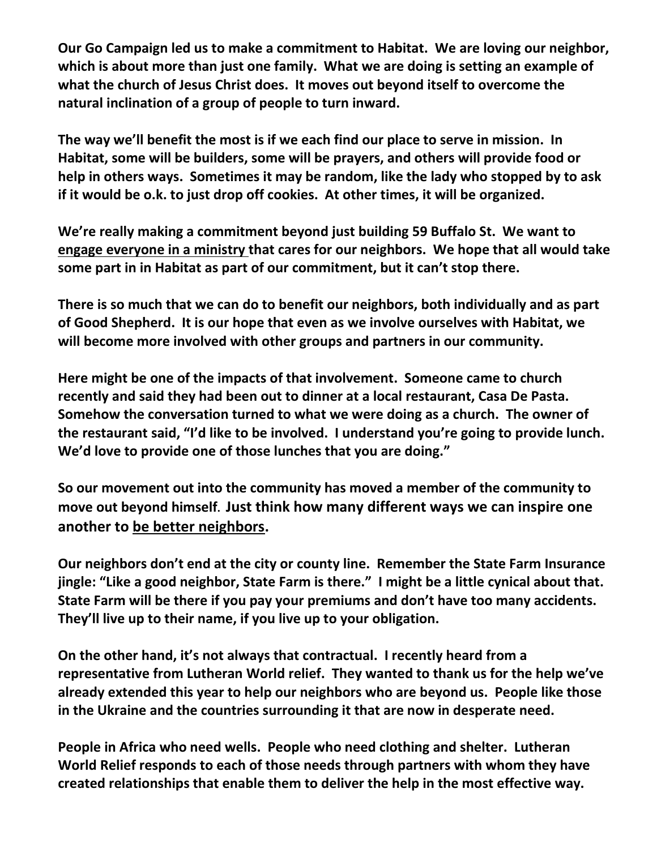**Our Go Campaign led us to make a commitment to Habitat. We are loving our neighbor, which is about more than just one family. What we are doing is setting an example of what the church of Jesus Christ does. It moves out beyond itself to overcome the natural inclination of a group of people to turn inward.** 

**The way we'll benefit the most is if we each find our place to serve in mission. In Habitat, some will be builders, some will be prayers, and others will provide food or help in others ways. Sometimes it may be random, like the lady who stopped by to ask if it would be o.k. to just drop off cookies. At other times, it will be organized.**

**We're really making a commitment beyond just building 59 Buffalo St. We want to engage everyone in a ministry that cares for our neighbors. We hope that all would take some part in in Habitat as part of our commitment, but it can't stop there.** 

**There is so much that we can do to benefit our neighbors, both individually and as part of Good Shepherd. It is our hope that even as we involve ourselves with Habitat, we will become more involved with other groups and partners in our community.** 

**Here might be one of the impacts of that involvement. Someone came to church recently and said they had been out to dinner at a local restaurant, Casa De Pasta. Somehow the conversation turned to what we were doing as a church. The owner of the restaurant said, "I'd like to be involved. I understand you're going to provide lunch. We'd love to provide one of those lunches that you are doing."** 

**So our movement out into the community has moved a member of the community to move out beyond himself. Just think how many different ways we can inspire one another to be better neighbors.**

**Our neighbors don't end at the city or county line. Remember the State Farm Insurance jingle: "Like a good neighbor, State Farm is there." I might be a little cynical about that. State Farm will be there if you pay your premiums and don't have too many accidents. They'll live up to their name, if you live up to your obligation.** 

**On the other hand, it's not always that contractual. I recently heard from a representative from Lutheran World relief. They wanted to thank us for the help we've already extended this year to help our neighbors who are beyond us. People like those in the Ukraine and the countries surrounding it that are now in desperate need.** 

**People in Africa who need wells. People who need clothing and shelter. Lutheran World Relief responds to each of those needs through partners with whom they have created relationships that enable them to deliver the help in the most effective way.**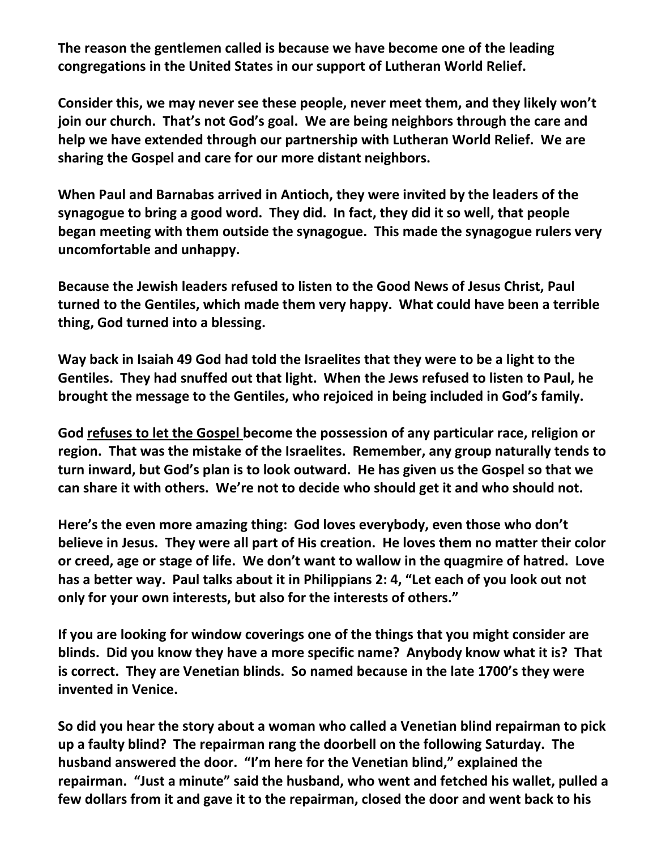**The reason the gentlemen called is because we have become one of the leading congregations in the United States in our support of Lutheran World Relief.** 

**Consider this, we may never see these people, never meet them, and they likely won't join our church. That's not God's goal. We are being neighbors through the care and help we have extended through our partnership with Lutheran World Relief. We are sharing the Gospel and care for our more distant neighbors.** 

**When Paul and Barnabas arrived in Antioch, they were invited by the leaders of the synagogue to bring a good word. They did. In fact, they did it so well, that people began meeting with them outside the synagogue. This made the synagogue rulers very uncomfortable and unhappy.** 

**Because the Jewish leaders refused to listen to the Good News of Jesus Christ, Paul turned to the Gentiles, which made them very happy. What could have been a terrible thing, God turned into a blessing.** 

**Way back in Isaiah 49 God had told the Israelites that they were to be a light to the Gentiles. They had snuffed out that light. When the Jews refused to listen to Paul, he brought the message to the Gentiles, who rejoiced in being included in God's family.** 

**God refuses to let the Gospel become the possession of any particular race, religion or region. That was the mistake of the Israelites. Remember, any group naturally tends to turn inward, but God's plan is to look outward. He has given us the Gospel so that we can share it with others. We're not to decide who should get it and who should not.** 

**Here's the even more amazing thing: God loves everybody, even those who don't believe in Jesus. They were all part of His creation. He loves them no matter their color or creed, age or stage of life. We don't want to wallow in the quagmire of hatred. Love has a better way. Paul talks about it in Philippians 2: 4, "Let each of you look out not only for your own interests, but also for the interests of others."** 

**If you are looking for window coverings one of the things that you might consider are blinds. Did you know they have a more specific name? Anybody know what it is? That is correct. They are Venetian blinds. So named because in the late 1700's they were invented in Venice.** 

**So did you hear the story about a woman who called a Venetian blind repairman to pick up a faulty blind? The repairman rang the doorbell on the following Saturday. The husband answered the door. "I'm here for the Venetian blind," explained the repairman. "Just a minute" said the husband, who went and fetched his wallet, pulled a few dollars from it and gave it to the repairman, closed the door and went back to his**